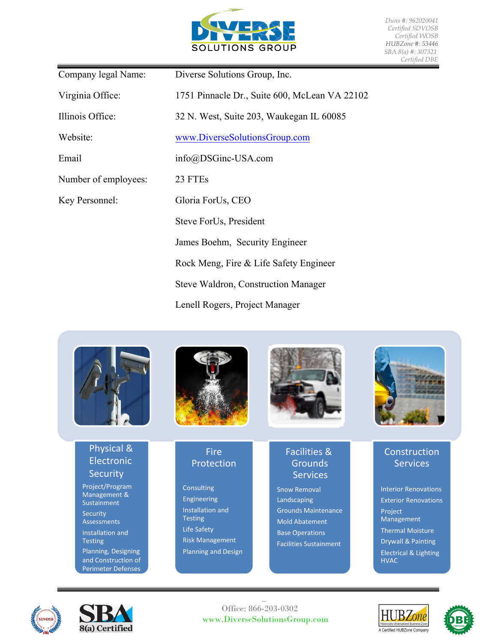

*Duns #: 962020041 Certified SDVOSB Certified WOSB HUBZone #: 53446 SBA 8(a) #: 307321 Certified DBE* 

| Company legal Name:  | Diverse Solutions Group, Inc.                 |  |  |  |
|----------------------|-----------------------------------------------|--|--|--|
| Virginia Office:     | 1751 Pinnacle Dr., Suite 600, McLean VA 22102 |  |  |  |
| Illinois Office:     | 32 N. West, Suite 203, Waukegan IL 60085      |  |  |  |
| Website:             | www.DiverseSolutionsGroup.com                 |  |  |  |
| Email                | info@DSGinc-USA.com                           |  |  |  |
| Number of employees: | 23 FTEs                                       |  |  |  |
| Key Personnel:       | Gloria ForUs, CEO                             |  |  |  |
|                      | Steve ForUs, President                        |  |  |  |
|                      | James Boehm, Security Engineer                |  |  |  |
|                      | Rock Meng, Fire & Life Safety Engineer        |  |  |  |
|                      | <b>Steve Waldron, Construction Manager</b>    |  |  |  |
|                      | Lenell Rogers, Project Manager                |  |  |  |



## Physical & Electronic **Security**

Project/Program Management & **Sustainment** Security Assessments Installation and **Testing** Planning, Designing and Construction of Perimeter Defenses







## Fire Protection

**Consulting** Engineering Installation and Testing Life Safety Risk Management Planning and Design

## Facilities & **Grounds** Services

Snow Removal Landscaping Grounds Maintenance Mold Abatement Base Operations Facilities Sustainment

# **Construction Services**

Interior Renovations Exterior Renovations Project Management Thermal Moisture Drywall & Painting Electrical & Lighting HVAC

![](_page_0_Picture_15.jpeg)

![](_page_0_Picture_16.jpeg)

 $\overline{a}$  Office: 866-203-0302 www.DiverseSolutionsGroup.com

![](_page_0_Picture_18.jpeg)

![](_page_0_Picture_19.jpeg)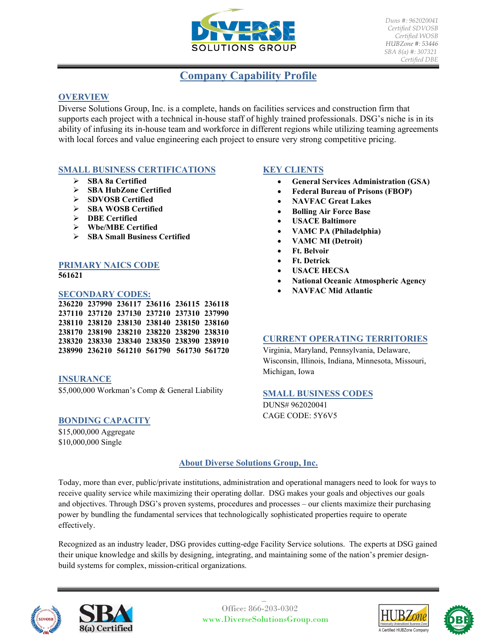![](_page_1_Picture_0.jpeg)

*Duns #: 962020041 Certified SDVOSB Certified WOSB HUBZone #: 53446 SBA 8(a) #: 307321 Certified DBE* 

# **Company Capability Profile**

## **OVERVIEW**

Diverse Solutions Group, Inc. is a complete, hands on facilities services and construction firm that supports each project with a technical in-house staff of highly trained professionals. DSG's niche is in its ability of infusing its in-house team and workforce in different regions while utilizing teaming agreements with local forces and value engineering each project to ensure very strong competitive pricing.

## **SMALL BUSINESS CERTIFICATIONS**

- **SBA 8a Certified**
- **SBA HubZone Certified**
- **SDVOSB Certified**
- **SBA WOSB Certified**
- **DBE Certified**
- **Wbe/MBE Certified**
- **SBA Small Business Certified**

### **PRIMARY NAICS CODE 561621**

#### **SECONDARY CODES:**

|  |  | 236220 237990 236117 236116 236115 236118 |  |
|--|--|-------------------------------------------|--|
|  |  | 237110 237120 237130 237210 237310 237990 |  |
|  |  | 238110 238120 238130 238140 238150 238160 |  |
|  |  | 238170 238190 238210 238220 238290 238310 |  |
|  |  | 238320 238330 238340 238350 238390 238910 |  |
|  |  | 238990 236210 561210 561790 561730 561720 |  |

## **INSURANCE**

\$5,000,000 Workman's Comp & General Liability

#### **BONDING CAPACITY**

\$15,000,000 Aggregate \$10,000,000 Single

## **KEY CLIENTS**

- **General Services Administration (GSA)**
- **Federal Bureau of Prisons (FBOP)**
- **NAVFAC Great Lakes**
- **Bolling Air Force Base**
- **USACE Baltimore**
- **VAMC PA (Philadelphia)**
- **VAMC MI (Detroit)**
- **Ft. Belvoir**
- **Ft. Detrick**
- **USACE HECSA**
- **National Oceanic Atmospheric Agency**
- **NAVFAC Mid Atlantic**

#### **CURRENT OPERATING TERRITORIES**

Virginia, Maryland, Pennsylvania, Delaware, Wisconsin, Illinois, Indiana, Minnesota, Missouri, Michigan, Iowa

#### **SMALL BUSINESS CODES**

DUNS# 962020041 CAGE CODE: 5Y6V5

## **About Diverse Solutions Group, Inc.**

Today, more than ever, public/private institutions, administration and operational managers need to look for ways to receive quality service while maximizing their operating dollar. DSG makes your goals and objectives our goals and objectives. Through DSG's proven systems, procedures and processes – our clients maximize their purchasing power by bundling the fundamental services that technologically sophisticated properties require to operate effectively.

Recognized as an industry leader, DSG provides cutting-edge Facility Service solutions. The experts at DSG gained their unique knowledge and skills by designing, integrating, and maintaining some of the nation's premier designbuild systems for complex, mission-critical organizations.

![](_page_1_Picture_40.jpeg)

![](_page_1_Picture_41.jpeg)

 Office: 866-203-0302 www.DiverseSolutionsGroup.com

 $\overline{a}$ 

![](_page_1_Picture_43.jpeg)

![](_page_1_Picture_44.jpeg)